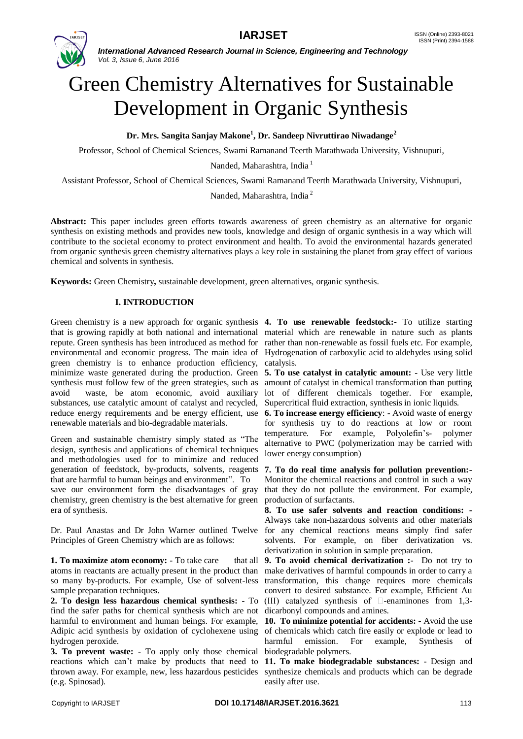

*International Advanced Research Journal in Science, Engineering and Technology Vol. 3, Issue 6, June 2016*

# Green Chemistry Alternatives for Sustainable Development in Organic Synthesis

**Dr. Mrs. Sangita Sanjay Makone<sup>1</sup> , Dr. Sandeep Nivruttirao Niwadange<sup>2</sup>**

Professor, School of Chemical Sciences, Swami Ramanand Teerth Marathwada University, Vishnupuri,

Nanded, Maharashtra, India<sup>1</sup>

Assistant Professor, School of Chemical Sciences, Swami Ramanand Teerth Marathwada University, Vishnupuri,

Nanded, Maharashtra, India <sup>2</sup>

**Abstract:** This paper includes green efforts towards awareness of green chemistry as an alternative for organic synthesis on existing methods and provides new tools, knowledge and design of organic synthesis in a way which will contribute to the societal economy to protect environment and health. To avoid the environmental hazards generated from organic synthesis green chemistry alternatives plays a key role in sustaining the planet from gray effect of various chemical and solvents in synthesis.

**Keywords:** Green Chemistry**,** sustainable development, green alternatives, organic synthesis.

# **I. INTRODUCTION**

Green chemistry is a new approach for organic synthesis **4. To use renewable feedstock:** To utilize starting that is growing rapidly at both national and international material which are renewable in nature such as plants repute. Green synthesis has been introduced as method for rather than non-renewable as fossil fuels etc. For example, environmental and economic progress. The main idea of Hydrogenation of carboxylic acid to aldehydes using solid green chemistry is to enhance production efficiency, catalysis. minimize waste generated during the production. Green **5. To use catalyst in catalytic amount: -** Use very little synthesis must follow few of the green strategies, such as amount of catalyst in chemical transformation than putting avoid waste, be atom economic, avoid auxiliary lot of different chemicals together. For example, substances, use catalytic amount of catalyst and recycled, Supercritical fluid extraction, synthesis in ionic liquids. reduce energy requirements and be energy efficient, use renewable materials and bio-degradable materials.

Green and sustainable chemistry simply stated as "The design, synthesis and applications of chemical techniques and methodologies used for to minimize and reduced generation of feedstock, by-products, solvents, reagents that are harmful to human beings and environment". To save our environment form the disadvantages of gray chemistry, green chemistry is the best alternative for green era of synthesis.

Dr. Paul Anastas and Dr John Warner outlined Twelve for any chemical reactions means simply find safer Principles of Green Chemistry which are as follows:

**1. To maximize atom economy: -** To take care that all atoms in reactants are actually present in the product than so many by-products. For example, Use of solvent-less sample preparation techniques.

**2. To design less hazardous chemical synthesis: -** To find the safer paths for chemical synthesis which are not harmful to environment and human beings. For example, **10. To minimize potential for accidents: -** Avoid the use Adipic acid synthesis by oxidation of cyclohexene using of chemicals which catch fire easily or explode or lead to hydrogen peroxide.

**3. To prevent waste: -** To apply only those chemical (e.g. Spinosad).

**6. To increase energy efficiency**: - Avoid waste of energy for synthesis try to do reactions at low or room temperature. For example, Polyolefin's- polymer alternative to PWC (polymerization may be carried with lower energy consumption)

**7. To do real time analysis for pollution prevention:-** Monitor the chemical reactions and control in such a way that they do not pollute the environment. For example, production of surfactants.

**8. To use safer solvents and reaction conditions: -** Always take non-hazardous solvents and other materials solvents. For example, on fiber derivatization vs. derivatization in solution in sample preparation.

**9. To avoid chemical derivatization :-** Do not try to make derivatives of harmful compounds in order to carry a transformation, this change requires more chemicals convert to desired substance. For example, Efficient Au (III) catalyzed synthesis of  $\square$ -enaminones from 1.3dicarbonyl compounds and amines.

harmful emission. For example, Synthesis biodegradable polymers.

reactions which can't make by products that need to **11. To make biodegradable substances: -** Design and thrown away. For example, new, less hazardous pesticides synthesize chemicals and products which can be degrade easily after use.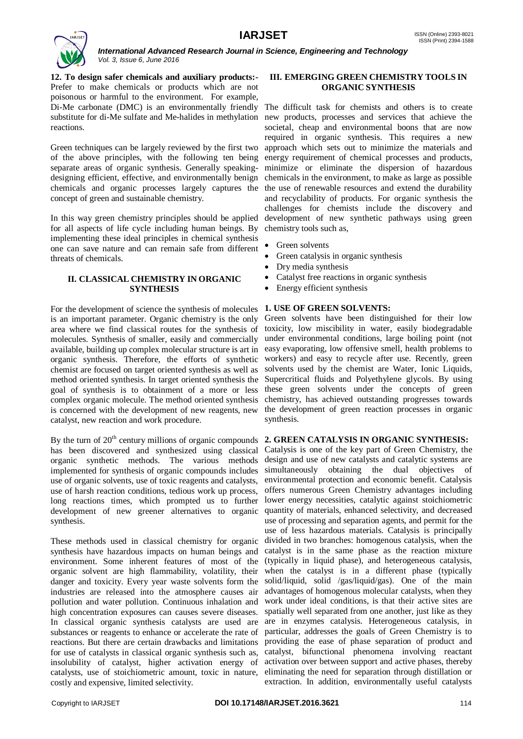

*International Advanced Research Journal in Science, Engineering and Technology Vol. 3, Issue 6, June 2016*

**12. To design safer chemicals and auxiliary products:-** Prefer to make chemicals or products which are not poisonous or harmful to the environment. For example, Di-Me carbonate (DMC) is an environmentally friendly The difficult task for chemists and others is to create substitute for di-Me sulfate and Me-halides in methylation new products, processes and services that achieve the reactions.

Green techniques can be largely reviewed by the first two of the above principles, with the following ten being separate areas of organic synthesis. Generally speaking-minimize or eliminate the dispersion of hazardous designing efficient, effective, and environmentally benign chemicals in the environment, to make as large as possible chemicals and organic processes largely captures the the use of renewable resources and extend the durability concept of green and sustainable chemistry.

In this way green chemistry principles should be applied for all aspects of life cycle including human beings. By implementing these ideal principles in chemical synthesis one can save nature and can remain safe from different threats of chemicals.

# **II. CLASSICAL CHEMISTRY IN ORGANIC SYNTHESIS**

For the development of science the synthesis of molecules **1. USE OF GREEN SOLVENTS:** is an important parameter. Organic chemistry is the only area where we find classical routes for the synthesis of molecules. Synthesis of smaller, easily and commercially available, building up complex molecular structure is art in organic synthesis. Therefore, the efforts of synthetic chemist are focused on target oriented synthesis as well as method oriented synthesis. In target oriented synthesis the goal of synthesis is to obtainment of a more or less complex organic molecule. The method oriented synthesis is concerned with the development of new reagents, new catalyst, new reaction and work procedure.

has been discovered and synthesized using classical organic synthetic methods. The various methods implemented for synthesis of organic compounds includes use of organic solvents, use of toxic reagents and catalysts, use of harsh reaction conditions, tedious work up process, long reactions times, which prompted us to further development of new greener alternatives to organic synthesis.

These methods used in classical chemistry for organic synthesis have hazardous impacts on human beings and environment. Some inherent features of most of the organic solvent are high flammability, volatility, their danger and toxicity. Every year waste solvents form the industries are released into the atmosphere causes air pollution and water pollution. Continuous inhalation and high concentration exposures can causes severe diseases. In classical organic synthesis catalysts are used are are in enzymes catalysis. Heterogeneous catalysis, in substances or reagents to enhance or accelerate the rate of reactions. But there are certain drawbacks and limitations providing the ease of phase separation of product and for use of catalysts in classical organic synthesis such as, insolubility of catalyst, higher activation energy of catalysts, use of stoichiometric amount, toxic in nature, costly and expensive, limited selectivity.

# **III. EMERGING GREEN CHEMISTRY TOOLS IN ORGANIC SYNTHESIS**

societal, cheap and environmental boons that are now required in organic synthesis. This requires a new approach which sets out to minimize the materials and energy requirement of chemical processes and products, and recyclability of products. For organic synthesis the challenges for chemists include the discovery and development of new synthetic pathways using green chemistry tools such as,

- Green solvents
- Green catalysis in organic synthesis
- Dry media synthesis
- Catalyst free reactions in organic synthesis
- Energy efficient synthesis

Green solvents have been distinguished for their low toxicity, low miscibility in water, easily biodegradable under environmental conditions, large boiling point (not easy evaporating, low offensive smell, health problems to workers) and easy to recycle after use. Recently, green solvents used by the chemist are Water, Ionic Liquids, Supercritical fluids and Polyethylene glycols. By using these green solvents under the concepts of green chemistry, has achieved outstanding progresses towards the development of green reaction processes in organic synthesis.

# By the turn of 20<sup>th</sup> century millions of organic compounds 2. GREEN CATALYSIS IN ORGANIC SYNTHESIS:

Catalysis is one of the key part of Green Chemistry, the design and use of new catalysts and catalytic systems are simultaneously obtaining the dual objectives of environmental protection and economic benefit. Catalysis offers numerous Green Chemistry advantages including lower energy necessities, catalytic against stoichiometric quantity of materials, enhanced selectivity, and decreased use of processing and separation agents, and permit for the use of less hazardous materials. Catalysis is principally divided in two branches: homogenous catalysis, when the catalyst is in the same phase as the reaction mixture (typically in liquid phase), and heterogeneous catalysis, when the catalyst is in a different phase (typically solid/liquid, solid /gas/liquid/gas). One of the main advantages of homogenous molecular catalysts, when they work under ideal conditions, is that their active sites are spatially well separated from one another, just like as they particular, addresses the goals of Green Chemistry is to catalyst, bifunctional phenomena involving reactant activation over between support and active phases, thereby eliminating the need for separation through distillation or extraction. In addition, environmentally useful catalysts